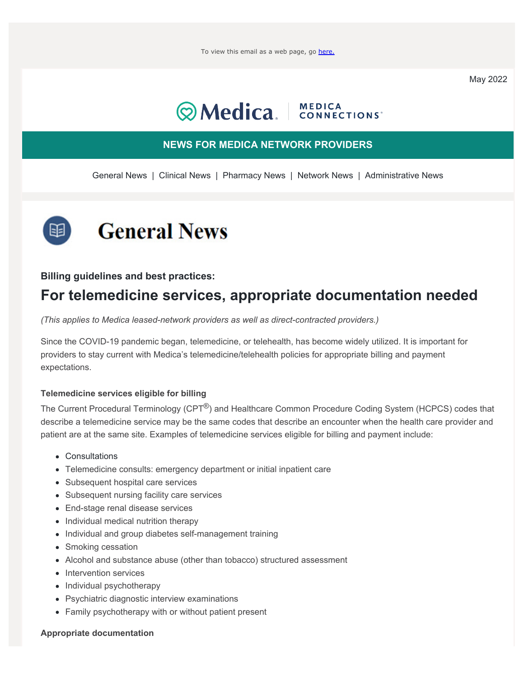May 2022

## **Wedica.** | MEDICA

#### **NEWS FOR MEDICA NETWORK PROVIDERS**

<span id="page-0-1"></span>[General News](#page-0-0) | [Clinical News](#page-1-0) | [Pharmacy News](#page-2-0) | [Network News](#page-4-0) | [Administrative News](#page-6-0)

<span id="page-0-0"></span>

#### **Billing guidelines and best practices:**

### **For telemedicine services, appropriate documentation needed**

*(This applies to Medica leased-network providers as well as direct-contracted providers.)*

Since the COVID-19 pandemic began, telemedicine, or telehealth, has become widely utilized. It is important for providers to stay current with Medica's telemedicine/telehealth policies for appropriate billing and payment expectations.

#### **Telemedicine services eligible for billing**

The Current Procedural Terminology (CPT<sup>®</sup>) and Healthcare Common Procedure Coding System (HCPCS) codes that describe a telemedicine service may be the same codes that describe an encounter when the health care provider and patient are at the same site. Examples of telemedicine services eligible for billing and payment include:

- Consultations
- Telemedicine consults: emergency department or initial inpatient care
- Subsequent hospital care services
- Subsequent nursing facility care services
- End-stage renal disease services
- Individual medical nutrition therapy
- Individual and group diabetes self-management training
- Smoking cessation
- Alcohol and substance abuse (other than tobacco) structured assessment
- Intervention services
- Individual psychotherapy
- Psychiatric diagnostic interview examinations
- Family psychotherapy with or without patient present

#### **Appropriate documentation**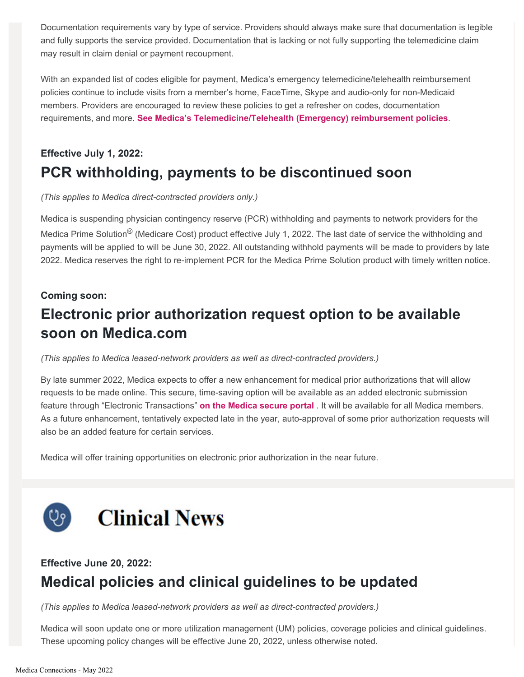Documentation requirements vary by type of service. Providers should always make sure that documentation is legible and fully supports the service provided. Documentation that is lacking or not fully supporting the telemedicine claim may result in claim denial or payment recoupment.

With an expanded list of codes eligible for payment, Medica's emergency telemedicine/telehealth reimbursement policies continue to include visits from a member's home, FaceTime, Skype and audio-only for non-Medicaid members. Providers are encouraged to review these policies to get a refresher on codes, documentation requirements, and more. **[See Medica's Telemedicine/Telehealth \(Emergency\) reimbursement policies](https://partner.medica.com/providers/policies-and-guidelines/reimbursement-policies)**.

### **Effective July 1, 2022: PCR withholding, payments to be discontinued soon**

*(This applies to Medica direct-contracted providers only.)*

Medica is suspending physician contingency reserve (PCR) withholding and payments to network providers for the Medica Prime Solution® (Medicare Cost) product effective July 1, 2022. The last date of service the withholding and payments will be applied to will be June 30, 2022. All outstanding withhold payments will be made to providers by late 2022. Medica reserves the right to re-implement PCR for the Medica Prime Solution product with timely written notice.

#### **Coming soon:**

### **Electronic prior authorization request option to be available soon on Medica.com**

*(This applies to Medica leased-network providers as well as direct-contracted providers.)*

By late summer 2022, Medica expects to offer a new enhancement for medical prior authorizations that will allow requests to be made online. This secure, time-saving option will be available as an added electronic submission feature through "Electronic Transactions" **[on the Medica secure portal](https://partner.medica.com/providers/electronic-transactions)** . It will be available for all Medica members. As a future enhancement, tentatively expected late in the year, auto-approval of some prior authorization requests will also be an added feature for certain services.

Medica will offer training opportunities on electronic prior authorization in the near future.

<span id="page-1-0"></span>

### **Effective June 20, 2022: Medical policies and clinical guidelines to be updated**

*(This applies to Medica leased-network providers as well as direct-contracted providers.)*

Medica will soon update one or more utilization management (UM) policies, coverage policies and clinical guidelines. These upcoming policy changes will be effective June 20, 2022, unless otherwise noted.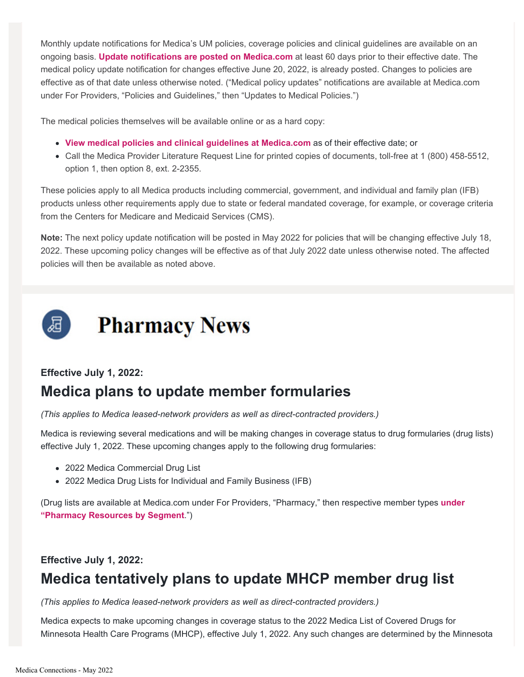Monthly update notifications for Medica's UM policies, coverage policies and clinical guidelines are available on an ongoing basis. **[Update notifications are posted on Medica.com](https://partner.medica.com/providers/policies-and-guidelines/updates-to-medical-policies)** at least 60 days prior to their effective date. The medical policy update notification for changes effective June 20, 2022, is already posted. Changes to policies are effective as of that date unless otherwise noted. ("Medical policy updates" notifications are available at Medica.com under For Providers, "Policies and Guidelines," then "Updates to Medical Policies.")

The medical policies themselves will be available online or as a hard copy:

- **[View medical policies and clinical guidelines at Medica.com](https://partner.medica.com/providers/policies-and-guidelines)** as of their effective date; or
- Call the Medica Provider Literature Request Line for printed copies of documents, toll-free at 1 (800) 458-5512, option 1, then option 8, ext. 2-2355.

These policies apply to all Medica products including commercial, government, and individual and family plan (IFB) products unless other requirements apply due to state or federal mandated coverage, for example, or coverage criteria from the Centers for Medicare and Medicaid Services (CMS).

**Note:** The next policy update notification will be posted in May 2022 for policies that will be changing effective July 18, 2022. These upcoming policy changes will be effective as of that July 2022 date unless otherwise noted. The affected policies will then be available as noted above.

<span id="page-2-0"></span>

### **Effective July 1, 2022: Medica plans to update member formularies**

*(This applies to Medica leased-network providers as well as direct-contracted providers.)*

Medica is reviewing several medications and will be making changes in coverage status to drug formularies (drug lists) effective July 1, 2022. These upcoming changes apply to the following drug formularies:

- 2022 Medica Commercial Drug List
- 2022 Medica Drug Lists for Individual and Family Business (IFB)

(Drug lists are available at Medica.com under For Providers, "Pharmacy," then respective member types **[under](https://partner.medica.com/providers/pharmacy) ["Pharmacy Resources by Segment](https://partner.medica.com/providers/pharmacy)**.")

#### **Effective July 1, 2022:**

### **Medica tentatively plans to update MHCP member drug list**

*(This applies to Medica leased-network providers as well as direct-contracted providers.)*

Medica expects to make upcoming changes in coverage status to the 2022 Medica List of Covered Drugs for Minnesota Health Care Programs (MHCP), effective July 1, 2022. Any such changes are determined by the Minnesota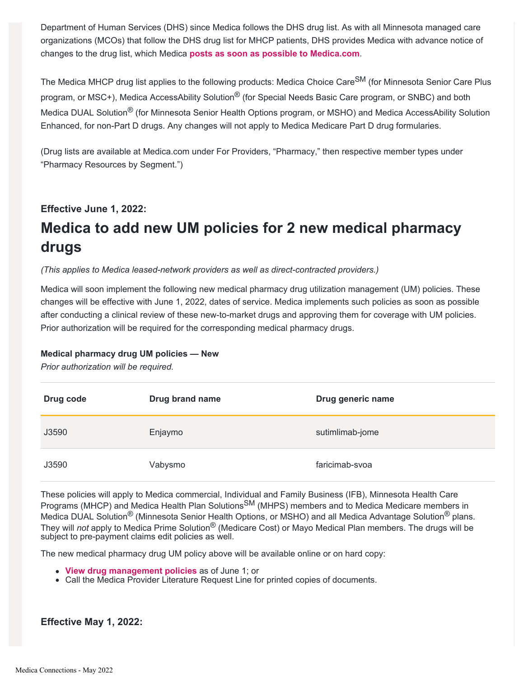Department of Human Services (DHS) since Medica follows the DHS drug list. As with all Minnesota managed care organizations (MCOs) that follow the DHS drug list for MHCP patients, DHS provides Medica with advance notice of changes to the drug list, which Medica **[posts as soon as possible to Medica.com](https://partner.medica.com/providers/pharmacy/minnesota-health-care-programs)**.

The Medica MHCP drug list applies to the following products: Medica Choice Care<sup>SM</sup> (for Minnesota Senior Care Plus program, or MSC+), Medica AccessAbility Solution<sup>®</sup> (for Special Needs Basic Care program, or SNBC) and both Medica DUAL Solution® (for Minnesota Senior Health Options program, or MSHO) and Medica AccessAbility Solution Enhanced, for non-Part D drugs. Any changes will not apply to Medica Medicare Part D drug formularies.

(Drug lists are available at Medica.com under For Providers, "Pharmacy," then respective member types under "Pharmacy Resources by Segment.")

#### **Effective June 1, 2022:**

## **Medica to add new UM policies for 2 new medical pharmacy drugs**

*(This applies to Medica leased-network providers as well as direct-contracted providers.)*

Medica will soon implement the following new medical pharmacy drug utilization management (UM) policies. These changes will be effective with June 1, 2022, dates of service. Medica implements such policies as soon as possible after conducting a clinical review of these new-to-market drugs and approving them for coverage with UM policies. Prior authorization will be required for the corresponding medical pharmacy drugs.

#### **Medical pharmacy drug UM policies — New**

*Prior authorization will be required.*

| Drug code | <b>Drug brand name</b> | Drug generic name |
|-----------|------------------------|-------------------|
| J3590     | Enjaymo                | sutimlimab-jome   |
| J3590     | Vabysmo                | faricimab-svoa    |

These policies will apply to Medica commercial, Individual and Family Business (IFB), Minnesota Health Care Programs (MHCP) and Medica Health Plan Solutions<sup>SM</sup> (MHPS) members and to Medica Medicare members in Medica DUAL Solution<sup>®</sup> (Minnesota Senior Health Options, or MSHO) and all Medica Advantage Solution<sup>®</sup> plans. They will *not* apply to Medica Prime Solution® (Medicare Cost) or Mayo Medical Plan members. The drugs will be subject to pre-payment claims edit policies as well.

The new medical pharmacy drug UM policy above will be available online or on hard copy:

- **[View drug management policies](https://specialtydrug.magellanprovider.com/medication-center/policies-and-guidelines/medica.aspx)** as of June 1; or
- Call the Medica Provider Literature Request Line for printed copies of documents.

**Effective May 1, 2022:**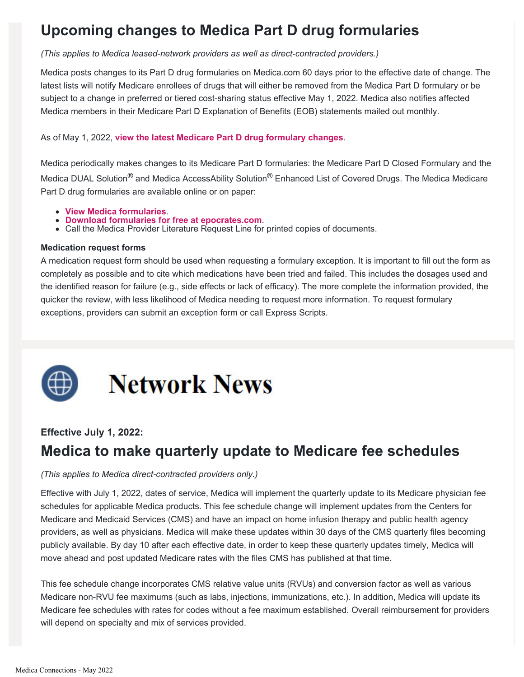## **Upcoming changes to Medica Part D drug formularies**

*(This applies to Medica leased-network providers as well as direct-contracted providers.)*

Medica posts changes to its Part D drug formularies on Medica.com 60 days prior to the effective date of change. The latest lists will notify Medicare enrollees of drugs that will either be removed from the Medica Part D formulary or be subject to a change in preferred or tiered cost-sharing status effective May 1, 2022. Medica also notifies affected Medica members in their Medicare Part D Explanation of Benefits (EOB) statements mailed out monthly.

#### As of May 1, 2022, **[view the latest Medicare Part D drug formulary changes](https://partner.medica.com/providers/pharmacy)**.

Medica periodically makes changes to its Medicare Part D formularies: the Medicare Part D Closed Formulary and the Medica DUAL Solution<sup>®</sup> and Medica AccessAbility Solution<sup>®</sup> Enhanced List of Covered Drugs. The Medica Medicare Part D drug formularies are available online or on paper:

- 
- **[View Medica formularies](https://www.medica.com/providers/pharmacy)**.
- **Call the Medica Provider Literature Request Line for printed copies of documents.**

#### **Medication request forms**

A medication request form should be used when requesting a formulary exception. It is important to fill out the form as completely as possible and to cite which medications have been tried and failed. This includes the dosages used and the identified reason for failure (e.g., side effects or lack of efficacy). The more complete the information provided, the quicker the review, with less likelihood of Medica needing to request more information. To request formulary exceptions, providers can submit an exception form or call Express Scripts.

# **Network News**

### <span id="page-4-0"></span>**Effective July 1, 2022:**

### **Medica to make quarterly update to Medicare fee schedules**

#### *(This applies to Medica direct-contracted providers only.)*

Effective with July 1, 2022, dates of service, Medica will implement the quarterly update to its Medicare physician fee schedules for applicable Medica products. This fee schedule change will implement updates from the Centers for Medicare and Medicaid Services (CMS) and have an impact on home infusion therapy and public health agency providers, as well as physicians. Medica will make these updates within 30 days of the CMS quarterly files becoming publicly available. By day 10 after each effective date, in order to keep these quarterly updates timely, Medica will move ahead and post updated Medicare rates with the files CMS has published at that time.

This fee schedule change incorporates CMS relative value units (RVUs) and conversion factor as well as various Medicare non-RVU fee maximums (such as labs, injections, immunizations, etc.). In addition, Medica will update its Medicare fee schedules with rates for codes without a fee maximum established. Overall reimbursement for providers will depend on specialty and mix of services provided.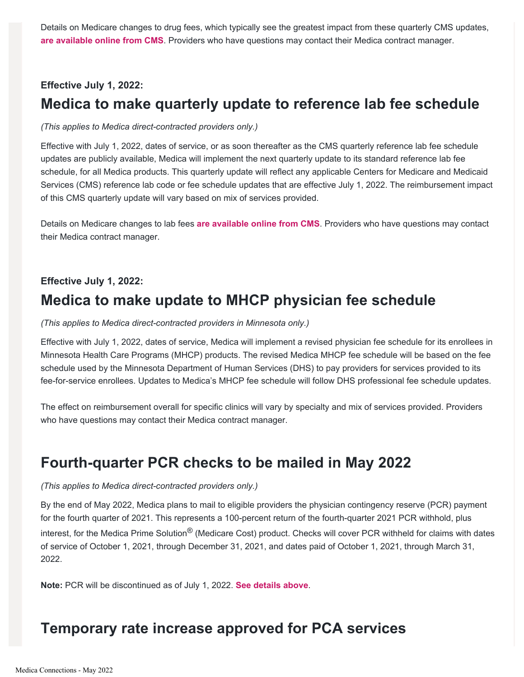Details on Medicare changes to drug fees, which typically see the greatest impact from these quarterly CMS updates, **[are available online from CMS](https://www.cms.gov/medicare/medicare-fee-for-service-part-b-drugs/mcrpartbdrugavgsalesprice?redirect=/mcrpartbdrugavgsalesprice/)**. Providers who have questions may contact their Medica contract manager.

#### **Effective July 1, 2022:**

### **Medica to make quarterly update to reference lab fee schedule**

#### *(This applies to Medica direct-contracted providers only.)*

Effective with July 1, 2022, dates of service, or as soon thereafter as the CMS quarterly reference lab fee schedule updates are publicly available, Medica will implement the next quarterly update to its standard reference lab fee schedule, for all Medica products. This quarterly update will reflect any applicable Centers for Medicare and Medicaid Services (CMS) reference lab code or fee schedule updates that are effective July 1, 2022. The reimbursement impact of this CMS quarterly update will vary based on mix of services provided.

Details on Medicare changes to lab fees **[are available online from CMS](https://www.cms.gov/medicare/medicare-fee-for-service-payment/clinicallabfeesched)**. Providers who have questions may contact their Medica contract manager.

### **Effective July 1, 2022: Medica to make update to MHCP physician fee schedule**

#### *(This applies to Medica direct-contracted providers in Minnesota only.)*

Effective with July 1, 2022, dates of service, Medica will implement a revised physician fee schedule for its enrollees in Minnesota Health Care Programs (MHCP) products. The revised Medica MHCP fee schedule will be based on the fee schedule used by the Minnesota Department of Human Services (DHS) to pay providers for services provided to its fee-for-service enrollees. Updates to Medica's MHCP fee schedule will follow DHS professional fee schedule updates.

The effect on reimbursement overall for specific clinics will vary by specialty and mix of services provided. Providers who have questions may contact their Medica contract manager.

### **Fourth-quarter PCR checks to be mailed in May 2022**

#### *(This applies to Medica direct-contracted providers only.)*

By the end of May 2022, Medica plans to mail to eligible providers the physician contingency reserve (PCR) payment for the fourth quarter of 2021. This represents a 100-percent return of the fourth-quarter 2021 PCR withhold, plus interest, for the Medica Prime Solution<sup>®</sup> (Medicare Cost) product. Checks will cover PCR withheld for claims with dates of service of October 1, 2021, through December 31, 2021, and dates paid of October 1, 2021, through March 31, 2022.

**Note:** PCR will be discontinued as of July 1, 2022. **[See details above](#page-0-1)**.

### **Temporary rate increase approved for PCA services**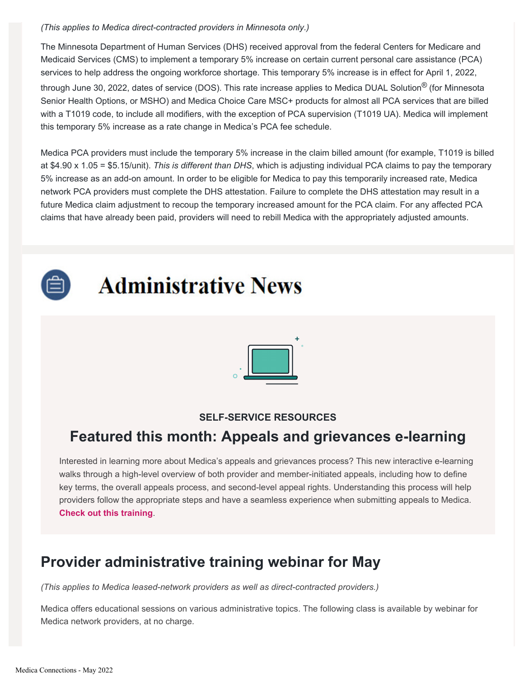#### *(This applies to Medica direct-contracted providers in Minnesota only.)*

The Minnesota Department of Human Services (DHS) received approval from the federal Centers for Medicare and Medicaid Services (CMS) to implement a temporary 5% increase on certain current personal care assistance (PCA) services to help address the ongoing workforce shortage. This temporary 5% increase is in effect for April 1, 2022, through June 30, 2022, dates of service (DOS). This rate increase applies to Medica DUAL Solution® (for Minnesota Senior Health Options, or MSHO) and Medica Choice Care MSC+ products for almost all PCA services that are billed with a T1019 code, to include all modifiers, with the exception of PCA supervision (T1019 UA). Medica will implement this temporary 5% increase as a rate change in Medica's PCA fee schedule.

Medica PCA providers must include the temporary 5% increase in the claim billed amount (for example, T1019 is billed at \$4.90 x 1.05 = \$5.15/unit). *This is different than DHS*, which is adjusting individual PCA claims to pay the temporary 5% increase as an add-on amount. In order to be eligible for Medica to pay this temporarily increased rate, Medica network PCA providers must complete the DHS attestation. Failure to complete the DHS attestation may result in a future Medica claim adjustment to recoup the temporary increased amount for the PCA claim. For any affected PCA claims that have already been paid, providers will need to rebill Medica with the appropriately adjusted amounts.

<span id="page-6-0"></span>

## **Administrative News**



### **SELF-SERVICE RESOURCES**

### **Featured this month: Appeals and grievances e-learning**

Interested in learning more about Medica's appeals and grievances process? This new interactive e-learning walks through a high-level overview of both provider and member-initiated appeals, including how to define key terms, the overall appeals process, and second-level appeal rights. Understanding this process will help providers follow the appropriate steps and have a seamless experience when submitting appeals to Medica. **[Check out this training](https://partner.medica.com/providers/provider-training)**.

### **Provider administrative training webinar for May**

*(This applies to Medica leased-network providers as well as direct-contracted providers.)*

Medica offers educational sessions on various administrative topics. The following class is available by webinar for Medica network providers, at no charge.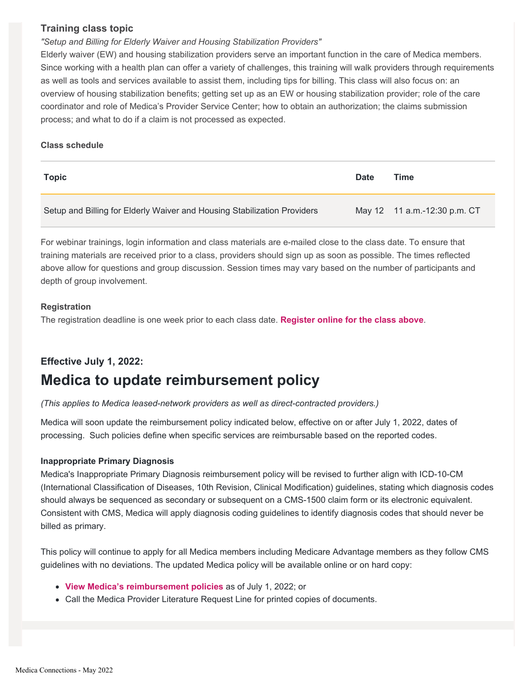#### **Training class topic**

#### *"Setup and Billing for Elderly Waiver and Housing Stabilization Providers"*

Elderly waiver (EW) and housing stabilization providers serve an important function in the care of Medica members. Since working with a health plan can offer a variety of challenges, this training will walk providers through requirements as well as tools and services available to assist them, including tips for billing. This class will also focus on: an overview of housing stabilization benefits; getting set up as an EW or housing stabilization provider; role of the care coordinator and role of Medica's Provider Service Center; how to obtain an authorization; the claims submission process; and what to do if a claim is not processed as expected.

#### **Class schedule**

| <b>Topic</b>                                                             | <b>Date</b> | Time                         |
|--------------------------------------------------------------------------|-------------|------------------------------|
| Setup and Billing for Elderly Waiver and Housing Stabilization Providers |             | May 12 11 a.m.-12:30 p.m. CT |

For webinar trainings, login information and class materials are e-mailed close to the class date. To ensure that training materials are received prior to a class, providers should sign up as soon as possible. The times reflected above allow for questions and group discussion. Session times may vary based on the number of participants and depth of group involvement.

#### **Registration**

The registration deadline is one week prior to each class date. **[Register online for the class above](https://partner.medica.com/providers/provider-training/provider-college-class-registration-form)**.

### **Effective July 1, 2022: Medica to update reimbursement policy**

*(This applies to Medica leased-network providers as well as direct-contracted providers.)*

Medica will soon update the reimbursement policy indicated below, effective on or after July 1, 2022, dates of processing. Such policies define when specific services are reimbursable based on the reported codes.

#### **Inappropriate Primary Diagnosis**

Medica's Inappropriate Primary Diagnosis reimbursement policy will be revised to further align with ICD-10-CM (International Classification of Diseases, 10th Revision, Clinical Modification) guidelines, stating which diagnosis codes should always be sequenced as secondary or subsequent on a CMS-1500 claim form or its electronic equivalent. Consistent with CMS, Medica will apply diagnosis coding guidelines to identify diagnosis codes that should never be billed as primary.

This policy will continue to apply for all Medica members including Medicare Advantage members as they follow CMS guidelines with no deviations. The updated Medica policy will be available online or on hard copy:

- **[View Medica's reimbursement policies](https://partner.medica.com/providers/policies-and-guidelines/reimbursement-policies)** as of July 1, 2022; or
- Call the Medica Provider Literature Request Line for printed copies of documents.